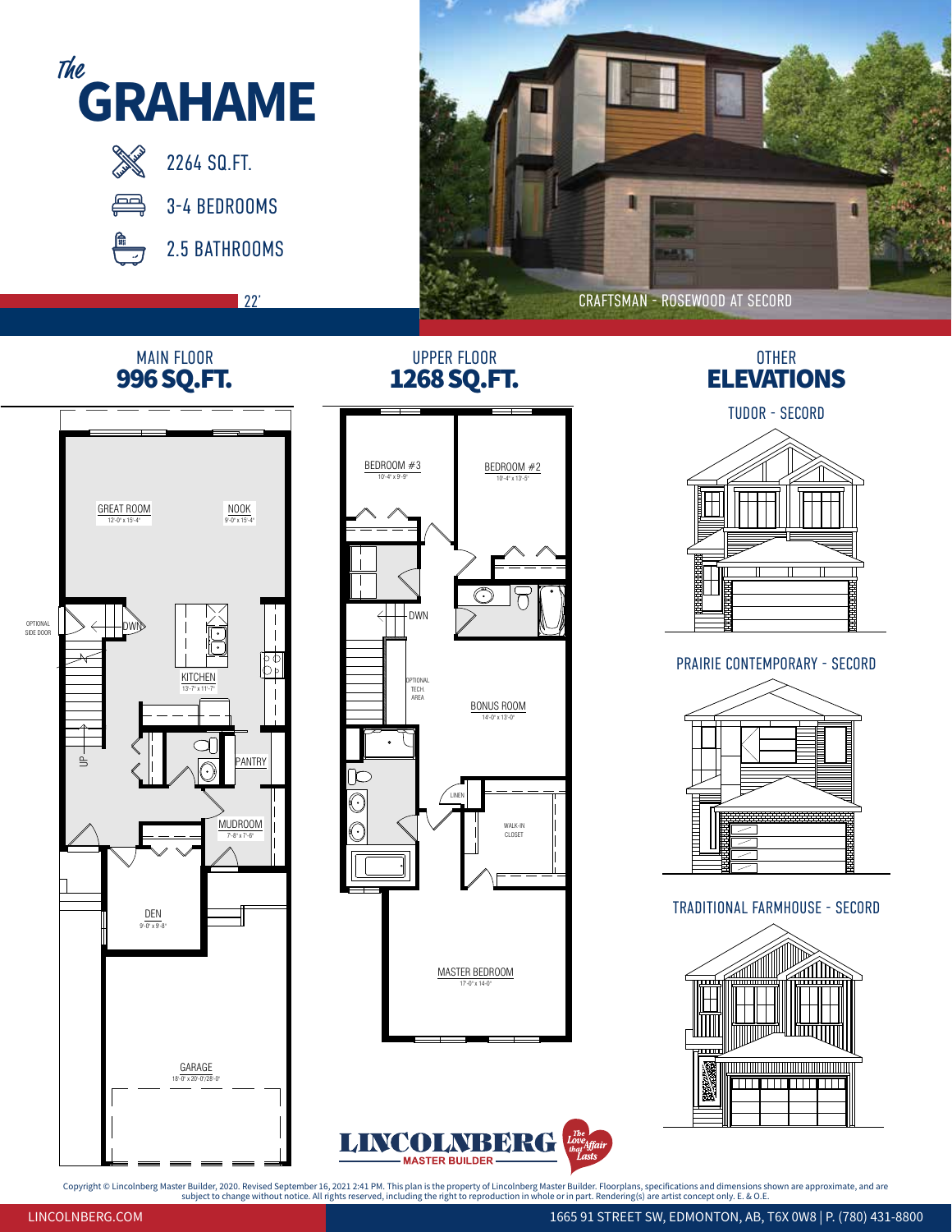

Copyright © Lincolnberg Master Builder, 2020. Revised September 16, 2021 2:41 PM. This plan is the property of Lincolnberg Master Builder. Floorplans, specifications and dimensions shown are approximate, and are تعاولت ا